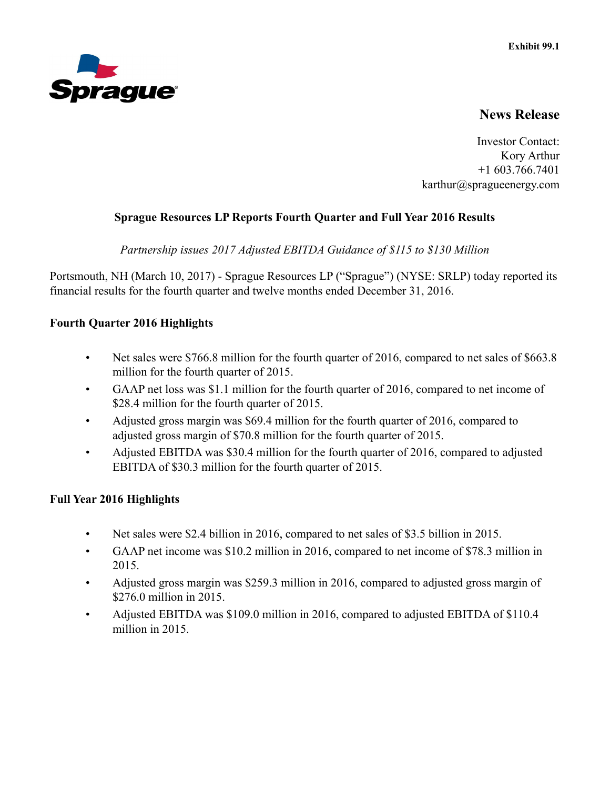

# **News Release**

Investor Contact: Kory Arthur +1 603.766.7401 karthur@spragueenergy.com

# **Sprague Resources LP Reports Fourth Quarter and Full Year 2016 Results**

*Partnership issues 2017 Adjusted EBITDA Guidance of \$115 to \$130 Million*

Portsmouth, NH (March 10, 2017) - Sprague Resources LP ("Sprague") (NYSE: SRLP) today reported its financial results for the fourth quarter and twelve months ended December 31, 2016.

## **Fourth Quarter 2016 Highlights**

- Net sales were \$766.8 million for the fourth quarter of 2016, compared to net sales of \$663.8 million for the fourth quarter of 2015.
- GAAP net loss was \$1.1 million for the fourth quarter of 2016, compared to net income of \$28.4 million for the fourth quarter of 2015.
- Adjusted gross margin was \$69.4 million for the fourth quarter of 2016, compared to adjusted gross margin of \$70.8 million for the fourth quarter of 2015.
- Adjusted EBITDA was \$30.4 million for the fourth quarter of 2016, compared to adjusted EBITDA of \$30.3 million for the fourth quarter of 2015.

### **Full Year 2016 Highlights**

- Net sales were \$2.4 billion in 2016, compared to net sales of \$3.5 billion in 2015.
- GAAP net income was \$10.2 million in 2016, compared to net income of \$78.3 million in 2015.
- Adjusted gross margin was \$259.3 million in 2016, compared to adjusted gross margin of \$276.0 million in 2015.
- Adjusted EBITDA was \$109.0 million in 2016, compared to adjusted EBITDA of \$110.4 million in 2015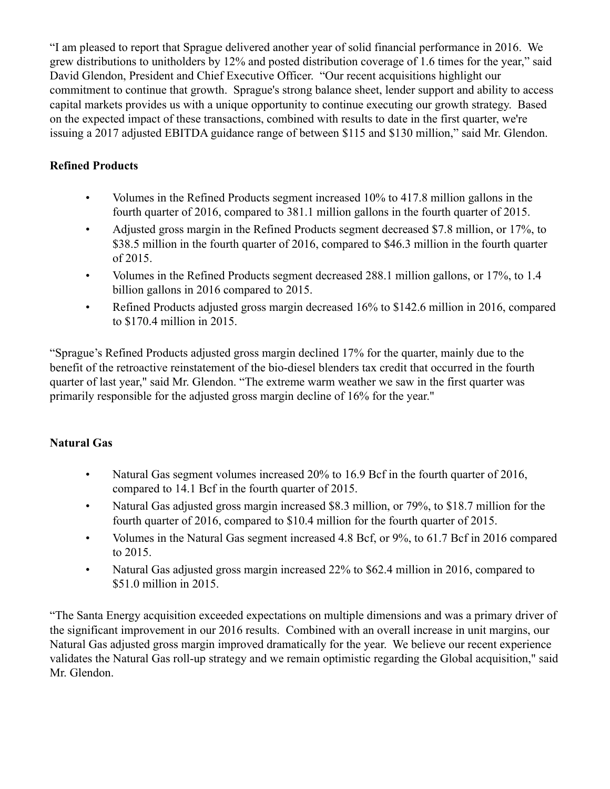"I am pleased to report that Sprague delivered another year of solid financial performance in 2016. We grew distributions to unitholders by 12% and posted distribution coverage of 1.6 times for the year," said David Glendon, President and Chief Executive Officer. "Our recent acquisitions highlight our commitment to continue that growth. Sprague's strong balance sheet, lender support and ability to access capital markets provides us with a unique opportunity to continue executing our growth strategy. Based on the expected impact of these transactions, combined with results to date in the first quarter, we're issuing a 2017 adjusted EBITDA guidance range of between \$115 and \$130 million," said Mr. Glendon.

# **Refined Products**

- Volumes in the Refined Products segment increased 10% to 417.8 million gallons in the fourth quarter of 2016, compared to 381.1 million gallons in the fourth quarter of 2015.
- Adjusted gross margin in the Refined Products segment decreased \$7.8 million, or 17%, to \$38.5 million in the fourth quarter of 2016, compared to \$46.3 million in the fourth quarter of 2015.
- Volumes in the Refined Products segment decreased 288.1 million gallons, or 17%, to 1.4 billion gallons in 2016 compared to 2015.
- Refined Products adjusted gross margin decreased 16% to \$142.6 million in 2016, compared to \$170.4 million in 2015.

"Sprague's Refined Products adjusted gross margin declined 17% for the quarter, mainly due to the benefit of the retroactive reinstatement of the bio-diesel blenders tax credit that occurred in the fourth quarter of last year," said Mr. Glendon. "The extreme warm weather we saw in the first quarter was primarily responsible for the adjusted gross margin decline of 16% for the year."

# **Natural Gas**

- Natural Gas segment volumes increased 20% to 16.9 Bcf in the fourth quarter of 2016, compared to 14.1 Bcf in the fourth quarter of 2015.
- Natural Gas adjusted gross margin increased \$8.3 million, or 79%, to \$18.7 million for the fourth quarter of 2016, compared to \$10.4 million for the fourth quarter of 2015.
- Volumes in the Natural Gas segment increased 4.8 Bcf, or 9%, to 61.7 Bcf in 2016 compared to 2015.
- Natural Gas adjusted gross margin increased 22% to \$62.4 million in 2016, compared to \$51.0 million in 2015.

"The Santa Energy acquisition exceeded expectations on multiple dimensions and was a primary driver of the significant improvement in our 2016 results. Combined with an overall increase in unit margins, our Natural Gas adjusted gross margin improved dramatically for the year. We believe our recent experience validates the Natural Gas roll-up strategy and we remain optimistic regarding the Global acquisition," said Mr. Glendon.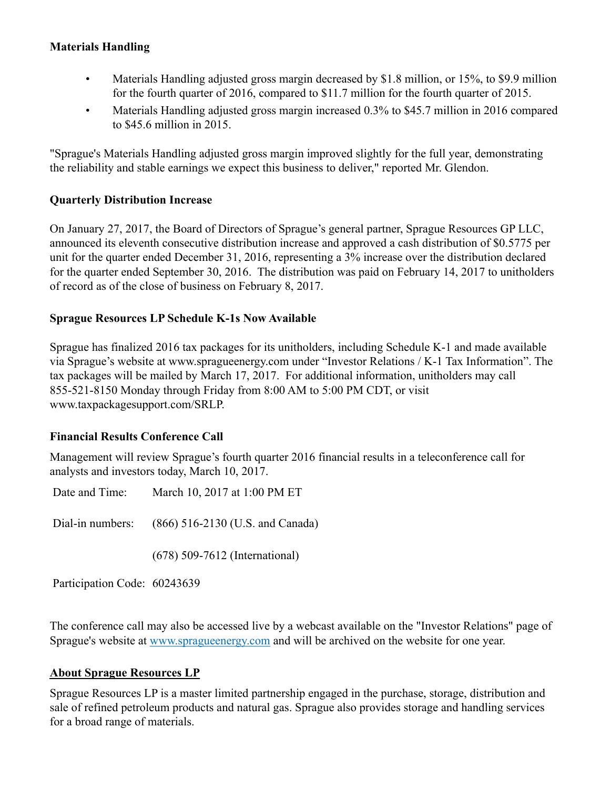## **Materials Handling**

- Materials Handling adjusted gross margin decreased by \$1.8 million, or 15%, to \$9.9 million for the fourth quarter of 2016, compared to \$11.7 million for the fourth quarter of 2015.
- Materials Handling adjusted gross margin increased 0.3% to \$45.7 million in 2016 compared to \$45.6 million in 2015.

"Sprague's Materials Handling adjusted gross margin improved slightly for the full year, demonstrating the reliability and stable earnings we expect this business to deliver," reported Mr. Glendon.

## **Quarterly Distribution Increase**

On January 27, 2017, the Board of Directors of Sprague's general partner, Sprague Resources GP LLC, announced its eleventh consecutive distribution increase and approved a cash distribution of \$0.5775 per unit for the quarter ended December 31, 2016, representing a 3% increase over the distribution declared for the quarter ended September 30, 2016. The distribution was paid on February 14, 2017 to unitholders of record as of the close of business on February 8, 2017.

## **Sprague Resources LP Schedule K-1s Now Available**

Sprague has finalized 2016 tax packages for its unitholders, including Schedule K-1 and made available via Sprague's website at www.spragueenergy.com under "Investor Relations / K-1 Tax Information". The tax packages will be mailed by March 17, 2017. For additional information, unitholders may call 855-521-8150 Monday through Friday from 8:00 AM to 5:00 PM CDT, or visit www.taxpackagesupport.com/SRLP.

### **Financial Results Conference Call**

Management will review Sprague's fourth quarter 2016 financial results in a teleconference call for analysts and investors today, March 10, 2017.

| Date and Time: | March 10, 2017 at 1:00 PM ET                      |
|----------------|---------------------------------------------------|
|                | Dial-in numbers: (866) 516-2130 (U.S. and Canada) |
|                | $(678)$ 509-7612 (International)                  |

Participation Code: 60243639

The conference call may also be accessed live by a webcast available on the "Investor Relations" page of Sprague's website at www.spragueenergy.com and will be archived on the website for one year.

### **About Sprague Resources LP**

Sprague Resources LP is a master limited partnership engaged in the purchase, storage, distribution and sale of refined petroleum products and natural gas. Sprague also provides storage and handling services for a broad range of materials.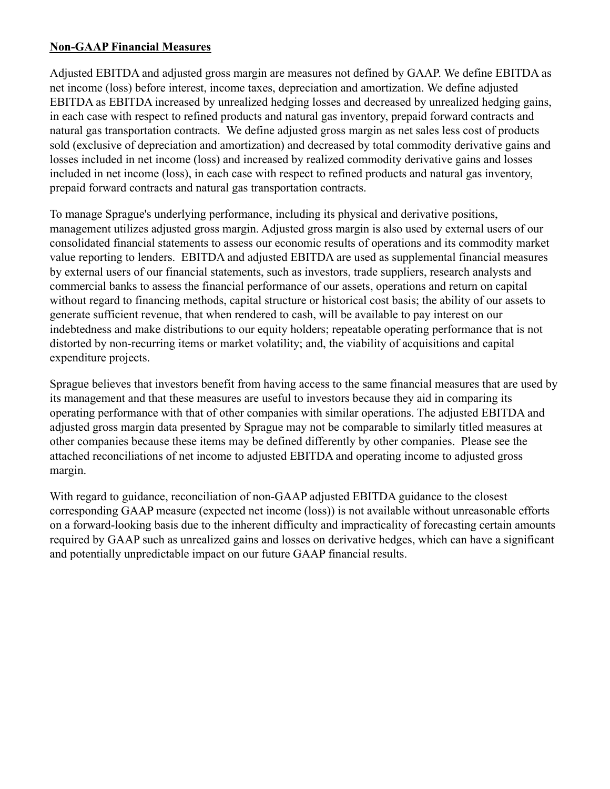## **Non-GAAP Financial Measures**

Adjusted EBITDA and adjusted gross margin are measures not defined by GAAP. We define EBITDA as net income (loss) before interest, income taxes, depreciation and amortization. We define adjusted EBITDA as EBITDA increased by unrealized hedging losses and decreased by unrealized hedging gains, in each case with respect to refined products and natural gas inventory, prepaid forward contracts and natural gas transportation contracts. We define adjusted gross margin as net sales less cost of products sold (exclusive of depreciation and amortization) and decreased by total commodity derivative gains and losses included in net income (loss) and increased by realized commodity derivative gains and losses included in net income (loss), in each case with respect to refined products and natural gas inventory, prepaid forward contracts and natural gas transportation contracts.

To manage Sprague's underlying performance, including its physical and derivative positions, management utilizes adjusted gross margin. Adjusted gross margin is also used by external users of our consolidated financial statements to assess our economic results of operations and its commodity market value reporting to lenders. EBITDA and adjusted EBITDA are used as supplemental financial measures by external users of our financial statements, such as investors, trade suppliers, research analysts and commercial banks to assess the financial performance of our assets, operations and return on capital without regard to financing methods, capital structure or historical cost basis; the ability of our assets to generate sufficient revenue, that when rendered to cash, will be available to pay interest on our indebtedness and make distributions to our equity holders; repeatable operating performance that is not distorted by non-recurring items or market volatility; and, the viability of acquisitions and capital expenditure projects.

Sprague believes that investors benefit from having access to the same financial measures that are used by its management and that these measures are useful to investors because they aid in comparing its operating performance with that of other companies with similar operations. The adjusted EBITDA and adjusted gross margin data presented by Sprague may not be comparable to similarly titled measures at other companies because these items may be defined differently by other companies. Please see the attached reconciliations of net income to adjusted EBITDA and operating income to adjusted gross margin.

With regard to guidance, reconciliation of non-GAAP adjusted EBITDA guidance to the closest corresponding GAAP measure (expected net income (loss)) is not available without unreasonable efforts on a forward-looking basis due to the inherent difficulty and impracticality of forecasting certain amounts required by GAAP such as unrealized gains and losses on derivative hedges, which can have a significant and potentially unpredictable impact on our future GAAP financial results.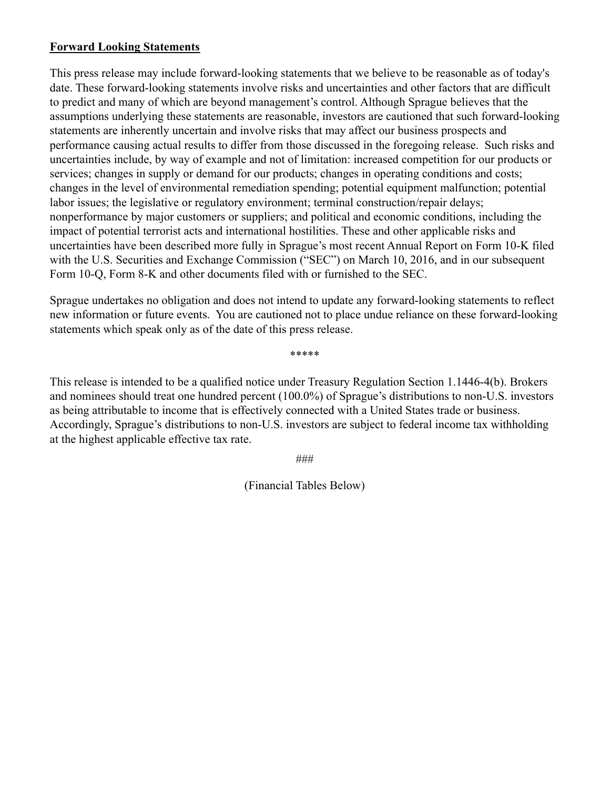#### **Forward Looking Statements**

This press release may include forward-looking statements that we believe to be reasonable as of today's date. These forward-looking statements involve risks and uncertainties and other factors that are difficult to predict and many of which are beyond management's control. Although Sprague believes that the assumptions underlying these statements are reasonable, investors are cautioned that such forward-looking statements are inherently uncertain and involve risks that may affect our business prospects and performance causing actual results to differ from those discussed in the foregoing release. Such risks and uncertainties include, by way of example and not of limitation: increased competition for our products or services; changes in supply or demand for our products; changes in operating conditions and costs; changes in the level of environmental remediation spending; potential equipment malfunction; potential labor issues; the legislative or regulatory environment; terminal construction/repair delays; nonperformance by major customers or suppliers; and political and economic conditions, including the impact of potential terrorist acts and international hostilities. These and other applicable risks and uncertainties have been described more fully in Sprague's most recent Annual Report on Form 10-K filed with the U.S. Securities and Exchange Commission ("SEC") on March 10, 2016, and in our subsequent Form 10-Q, Form 8-K and other documents filed with or furnished to the SEC.

Sprague undertakes no obligation and does not intend to update any forward-looking statements to reflect new information or future events. You are cautioned not to place undue reliance on these forward-looking statements which speak only as of the date of this press release.

\*\*\*\*\*

This release is intended to be a qualified notice under Treasury Regulation Section 1.1446-4(b). Brokers and nominees should treat one hundred percent (100.0%) of Sprague's distributions to non-U.S. investors as being attributable to income that is effectively connected with a United States trade or business. Accordingly, Sprague's distributions to non-U.S. investors are subject to federal income tax withholding at the highest applicable effective tax rate.

###

(Financial Tables Below)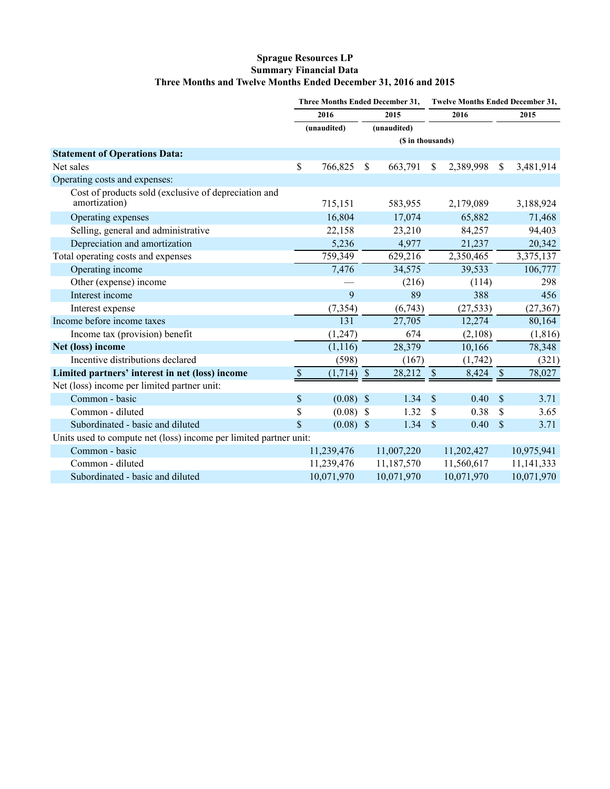#### **Sprague Resources LP Summary Financial Data Three Months and Twelve Months Ended December 31, 2016 and 2015**

|                                                                       | Three Months Ended December 31, |                   |                     | <b>Twelve Months Ended December 31,</b> |               |            |               |              |
|-----------------------------------------------------------------------|---------------------------------|-------------------|---------------------|-----------------------------------------|---------------|------------|---------------|--------------|
|                                                                       | 2016<br>(unaudited)             |                   | 2015<br>(unaudited) |                                         | 2016          |            |               | 2015         |
|                                                                       |                                 |                   |                     |                                         |               |            |               |              |
|                                                                       |                                 | (\$ in thousands) |                     |                                         |               |            |               |              |
| <b>Statement of Operations Data:</b>                                  |                                 |                   |                     |                                         |               |            |               |              |
| Net sales                                                             | \$                              | 766,825           | \$                  | 663,791                                 | \$            | 2,389,998  | \$            | 3,481,914    |
| Operating costs and expenses:                                         |                                 |                   |                     |                                         |               |            |               |              |
| Cost of products sold (exclusive of depreciation and<br>amortization) |                                 | 715,151           |                     | 583,955                                 |               | 2,179,089  |               | 3,188,924    |
| Operating expenses                                                    |                                 | 16,804            |                     | 17,074                                  |               | 65,882     |               | 71,468       |
| Selling, general and administrative                                   |                                 | 22,158            |                     | 23,210                                  |               | 84,257     |               | 94,403       |
| Depreciation and amortization                                         |                                 | 5,236             |                     | 4,977                                   |               | 21,237     |               | 20,342       |
| Total operating costs and expenses                                    |                                 | 759,349           |                     | $\overline{629,216}$                    |               | 2,350,465  |               | 3,375,137    |
| Operating income                                                      |                                 | 7,476             |                     | 34,575                                  |               | 39,533     |               | 106,777      |
| Other (expense) income                                                |                                 |                   |                     | (216)                                   |               | (114)      |               | 298          |
| Interest income                                                       |                                 | 9                 |                     | 89                                      |               | 388        |               | 456          |
| Interest expense                                                      |                                 | (7, 354)          |                     | (6,743)                                 |               | (27, 533)  |               | (27, 367)    |
| Income before income taxes                                            |                                 | $\overline{131}$  |                     | 27,705                                  |               | 12,274     |               | 80,164       |
| Income tax (provision) benefit                                        |                                 | (1,247)           |                     | 674                                     |               | (2,108)    |               | (1, 816)     |
| Net (loss) income                                                     |                                 | (1, 116)          |                     | 28,379                                  |               | 10,166     |               | 78,348       |
| Incentive distributions declared                                      |                                 | (598)             |                     | (167)                                   |               | (1,742)    |               | (321)        |
| Limited partners' interest in net (loss) income                       | $\mathcal{S}$                   | (1,714)           | $\sqrt{3}$          | 28,212                                  | $\mathcal{S}$ | 8,424      | $\$$          | 78,027       |
| Net (loss) income per limited partner unit:                           |                                 |                   |                     |                                         |               |            |               |              |
| Common - basic                                                        | \$                              | $(0.08)$ \$       |                     | 1.34                                    | $\mathcal{S}$ | 0.40       | \$            | 3.71         |
| Common - diluted                                                      | \$                              | (0.08)            | <sup>\$</sup>       | 1.32                                    | \$            | 0.38       | \$            | 3.65         |
| Subordinated - basic and diluted                                      | \$                              | $(0.08)$ \$       |                     | 1.34                                    | $\mathcal{S}$ | 0.40       | $\mathcal{S}$ | 3.71         |
| Units used to compute net (loss) income per limited partner unit:     |                                 |                   |                     |                                         |               |            |               |              |
| Common - basic                                                        |                                 | 11,239,476        |                     | 11,007,220                              |               | 11,202,427 |               | 10,975,941   |
| Common - diluted                                                      |                                 | 11,239,476        |                     | 11,187,570                              |               | 11,560,617 |               | 11, 141, 333 |
| Subordinated - basic and diluted                                      |                                 | 10,071,970        |                     | 10,071,970                              |               | 10,071,970 |               | 10,071,970   |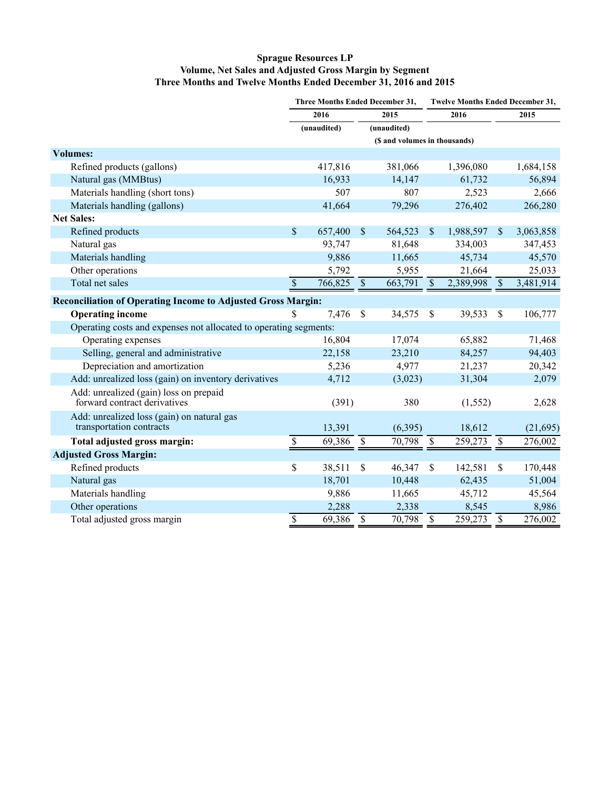#### **Sprague Resources LP Volume, Net Sales and Adjusted Gross Margin by Segment Three Months and Twelve Months Ended December 31, 2016 and 2015**

|                                                                        | Three Months Ended December 31, |         |                           | <b>Twelve Months Ended December 31,</b> |                          |           |                           |           |
|------------------------------------------------------------------------|---------------------------------|---------|---------------------------|-----------------------------------------|--------------------------|-----------|---------------------------|-----------|
|                                                                        | 2016<br>(unaudited)             |         | 2015<br>(unaudited)       |                                         | 2016                     |           |                           | 2015      |
|                                                                        |                                 |         |                           |                                         |                          |           |                           |           |
|                                                                        |                                 |         |                           | (\$ and volumes in thousands)           |                          |           |                           |           |
| <b>Volumes:</b>                                                        |                                 |         |                           |                                         |                          |           |                           |           |
| Refined products (gallons)                                             |                                 | 417,816 |                           | 381,066                                 |                          | 1,396,080 |                           | 1,684,158 |
| Natural gas (MMBtus)                                                   |                                 | 16,933  |                           | 14,147                                  |                          | 61,732    |                           | 56,894    |
| Materials handling (short tons)                                        |                                 | 507     |                           | 807                                     |                          | 2,523     |                           | 2,666     |
| Materials handling (gallons)                                           |                                 | 41,664  |                           | 79,296                                  |                          | 276,402   |                           | 266,280   |
| <b>Net Sales:</b>                                                      |                                 |         |                           |                                         |                          |           |                           |           |
| Refined products                                                       | \$                              | 657,400 | $\sqrt{\ }$               | 564,523                                 | $\sqrt{\ }$              | 1,988,597 | $\boldsymbol{\mathsf{S}}$ | 3,063,858 |
| Natural gas                                                            |                                 | 93,747  |                           | 81,648                                  |                          | 334,003   |                           | 347,453   |
| Materials handling                                                     |                                 | 9,886   |                           | 11,665                                  |                          | 45,734    |                           | 45,570    |
| Other operations                                                       |                                 | 5,792   |                           | 5,955                                   |                          | 21,664    |                           | 25,033    |
| Total net sales                                                        | $\overline{\mathcal{S}}$        | 766,825 | $\overline{\mathcal{S}}$  | 663,791                                 | $\overline{\mathcal{S}}$ | 2,389,998 | $\overline{\mathcal{S}}$  | 3,481,914 |
| <b>Reconciliation of Operating Income to Adjusted Gross Margin:</b>    |                                 |         |                           |                                         |                          |           |                           |           |
| <b>Operating income</b>                                                | S                               | 7,476   | $\boldsymbol{\mathsf{S}}$ | 34,575                                  | <sup>\$</sup>            | 39,533    | \$                        | 106,777   |
| Operating costs and expenses not allocated to operating segments:      |                                 |         |                           |                                         |                          |           |                           |           |
| Operating expenses                                                     |                                 | 16,804  |                           | 17,074                                  |                          | 65,882    |                           | 71,468    |
| Selling, general and administrative                                    |                                 | 22,158  |                           | 23,210                                  |                          | 84,257    |                           | 94,403    |
| Depreciation and amortization                                          |                                 | 5,236   |                           | 4,977                                   |                          | 21,237    |                           | 20,342    |
| Add: unrealized loss (gain) on inventory derivatives                   |                                 | 4,712   |                           | (3,023)                                 |                          | 31,304    |                           | 2,079     |
| Add: unrealized (gain) loss on prepaid<br>forward contract derivatives |                                 | (391)   |                           | 380                                     |                          | (1, 552)  |                           | 2,628     |
| Add: unrealized loss (gain) on natural gas<br>transportation contracts |                                 | 13,391  |                           | (6,395)                                 |                          | 18,612    |                           | (21,695)  |
| Total adjusted gross margin:                                           | \$                              | 69,386  | $\boldsymbol{\mathsf{S}}$ | 70,798                                  | $\mathcal{S}$            | 259,273   | $\mathbb{S}$              | 276,002   |
| <b>Adjusted Gross Margin:</b>                                          |                                 |         |                           |                                         |                          |           |                           |           |
| Refined products                                                       | \$                              | 38,511  | \$                        | 46,347                                  | \$                       | 142,581   | \$                        | 170,448   |
| Natural gas                                                            |                                 | 18,701  |                           | 10,448                                  |                          | 62,435    |                           | 51,004    |
| Materials handling                                                     |                                 | 9,886   |                           | 11,665                                  |                          | 45,712    |                           | 45,564    |
| Other operations                                                       |                                 | 2,288   |                           | 2,338                                   |                          | 8,545     |                           | 8,986     |
| Total adjusted gross margin                                            | \$                              | 69,386  | $\overline{\$}$           | 70,798                                  | $\overline{\mathcal{S}}$ | 259,273   | \$                        | 276,002   |